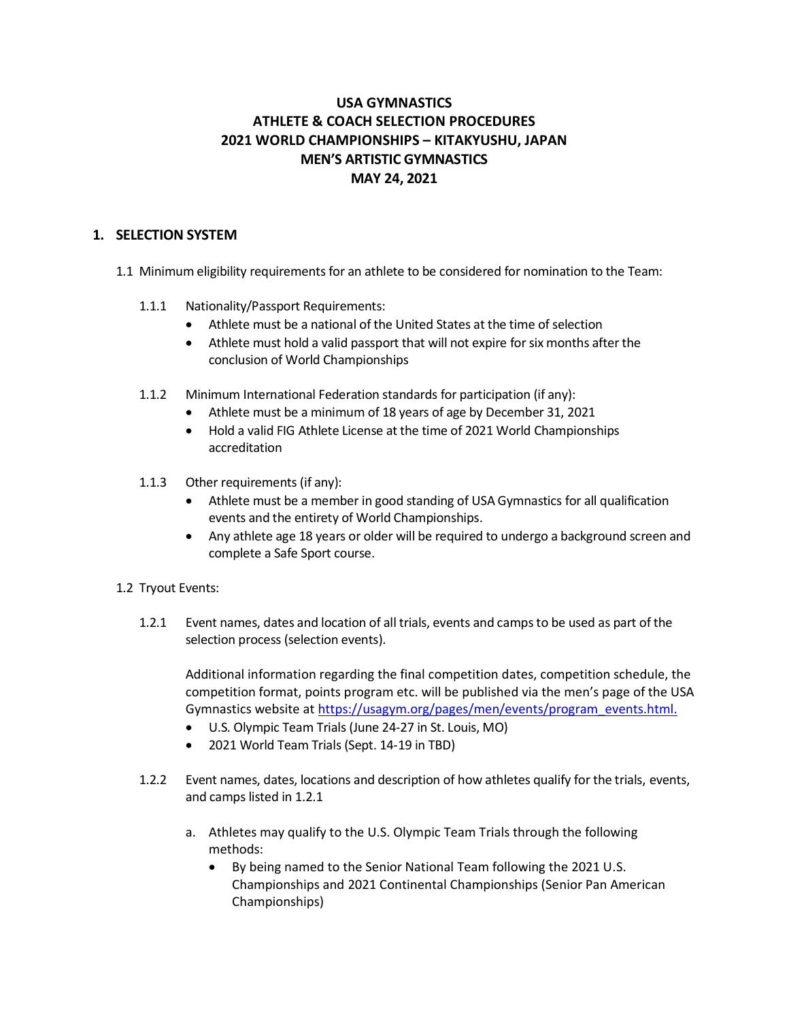# **USA GYMNASTICS ATHLETE & COACH SELECTION PROCEDURES 2021 WORLD CHAMPIONSHIPS – KITAKYUSHU, JAPAN MEN'S ARTISTIC GYMNASTICS MAY 24, 2021**

#### **1. SELECTION SYSTEM**

- 1.1Minimum eligibility requirements for an athlete to be considered for nomination to the Team:
	- 1.1.1 Nationality/Passport Requirements:
		- Athlete must be a national of the United States at the time of selection
		- Athlete must hold a valid passport that will not expire for six months after the conclusion of World Championships
	- 1.1.2 Minimum International Federation standards for participation (if any):
		- Athlete must be a minimum of 18 years of age by December 31, 2021
		- Hold a valid FIG Athlete License at the time of 2021 World Championships accreditation
	- 1.1.3 Other requirements (if any):
		- Athlete must be a member in good standing of USA Gymnastics for all qualification events and the entirety of World Championships.
		- Any athlete age 18 years or older will be required to undergo a background screen and complete a Safe Sport course.

## 1.2 Tryout Events:

1.2.1 Event names, dates and location of all trials, events and camps to be used as part of the selection process (selection events).

Additional information regarding the final competition dates, competition schedule, the competition format, points program etc. will be published via the men's page of the USA Gymnastics website a[t https://usagym.org/pages/men/events/program\\_events.html.](https://usagym.org/pages/men/events/program_events.html)

- U.S. Olympic Team Trials (June 24-27 in St. Louis, MO)
- 2021 World Team Trials (Sept. 14-19 in TBD)
- 1.2.2 Event names, dates, locations and description of how athletes qualify for the trials, events, and camps listed in 1.2.1
	- a. Athletes may qualify to the U.S. Olympic Team Trials through the following methods:
		- By being named to the Senior National Team following the 2021 U.S. Championships and 2021 Continental Championships (Senior Pan American Championships)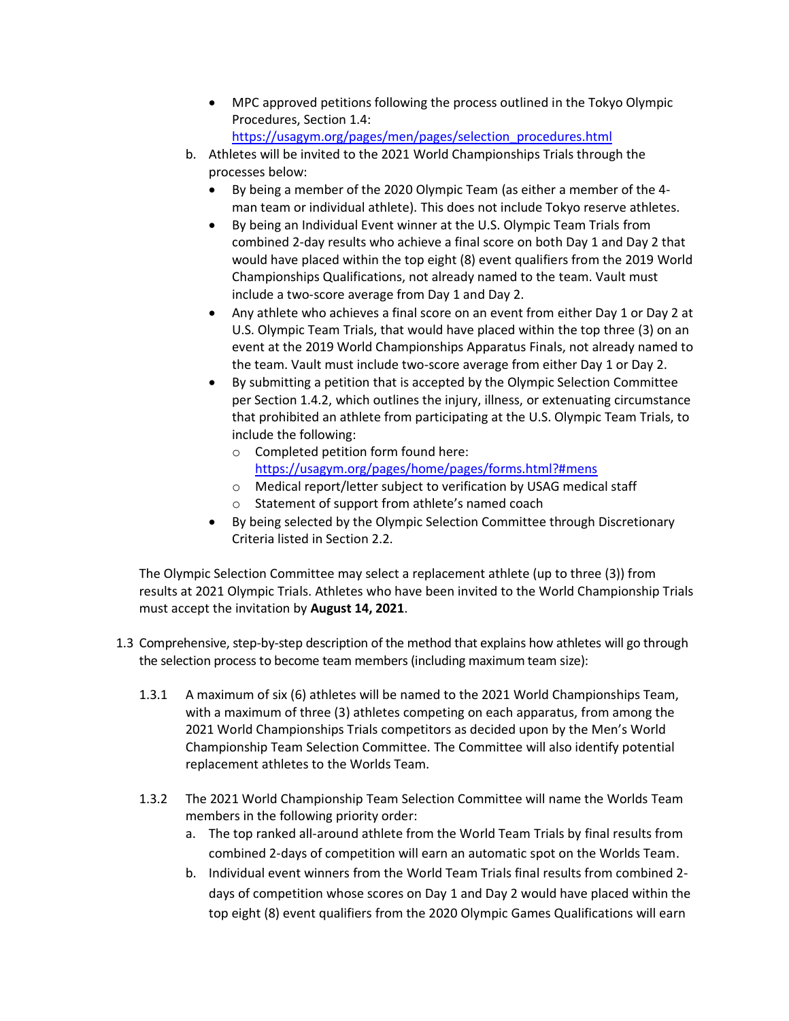- MPC approved petitions following the process outlined in the Tokyo Olympic Procedures, Section 1.4: [https://usagym.org/pages/men/pages/selection\\_procedures.html](https://usagym.org/pages/men/pages/selection_procedures.html)
- b. Athletes will be invited to the 2021 World Championships Trials through the processes below:
	- By being a member of the 2020 Olympic Team (as either a member of the 4 man team or individual athlete). This does not include Tokyo reserve athletes.
	- By being an Individual Event winner at the U.S. Olympic Team Trials from combined 2-day results who achieve a final score on both Day 1 and Day 2 that would have placed within the top eight (8) event qualifiers from the 2019 World Championships Qualifications, not already named to the team. Vault must include a two-score average from Day 1 and Day 2.
	- Any athlete who achieves a final score on an event from either Day 1 or Day 2 at U.S. Olympic Team Trials, that would have placed within the top three (3) on an event at the 2019 World Championships Apparatus Finals, not already named to the team. Vault must include two-score average from either Day 1 or Day 2.
	- By submitting a petition that is accepted by the Olympic Selection Committee per Section 1.4.2, which outlines the injury, illness, or extenuating circumstance that prohibited an athlete from participating at the U.S. Olympic Team Trials, to include the following:
		- o Completed petition form found here: <https://usagym.org/pages/home/pages/forms.html?#mens>
		- o Medical report/letter subject to verification by USAG medical staff
		- o Statement of support from athlete's named coach
	- By being selected by the Olympic Selection Committee through Discretionary Criteria listed in Section 2.2.

The Olympic Selection Committee may select a replacement athlete (up to three (3)) from results at 2021 Olympic Trials. Athletes who have been invited to the World Championship Trials must accept the invitation by **August 14, 2021**.

- 1.3 Comprehensive, step-by-step description of the method that explains how athletes will go through the selection process to become team members (including maximum team size):
	- 1.3.1 A maximum of six (6) athletes will be named to the 2021 World Championships Team, with a maximum of three (3) athletes competing on each apparatus, from among the 2021 World Championships Trials competitors as decided upon by the Men's World Championship Team Selection Committee. The Committee will also identify potential replacement athletes to the Worlds Team.
	- 1.3.2 The 2021 World Championship Team Selection Committee will name the Worlds Team members in the following priority order:
		- a. The top ranked all-around athlete from the World Team Trials by final results from combined 2-days of competition will earn an automatic spot on the Worlds Team.
		- b. Individual event winners from the World Team Trials final results from combined 2 days of competition whose scores on Day 1 and Day 2 would have placed within the top eight (8) event qualifiers from the 2020 Olympic Games Qualifications will earn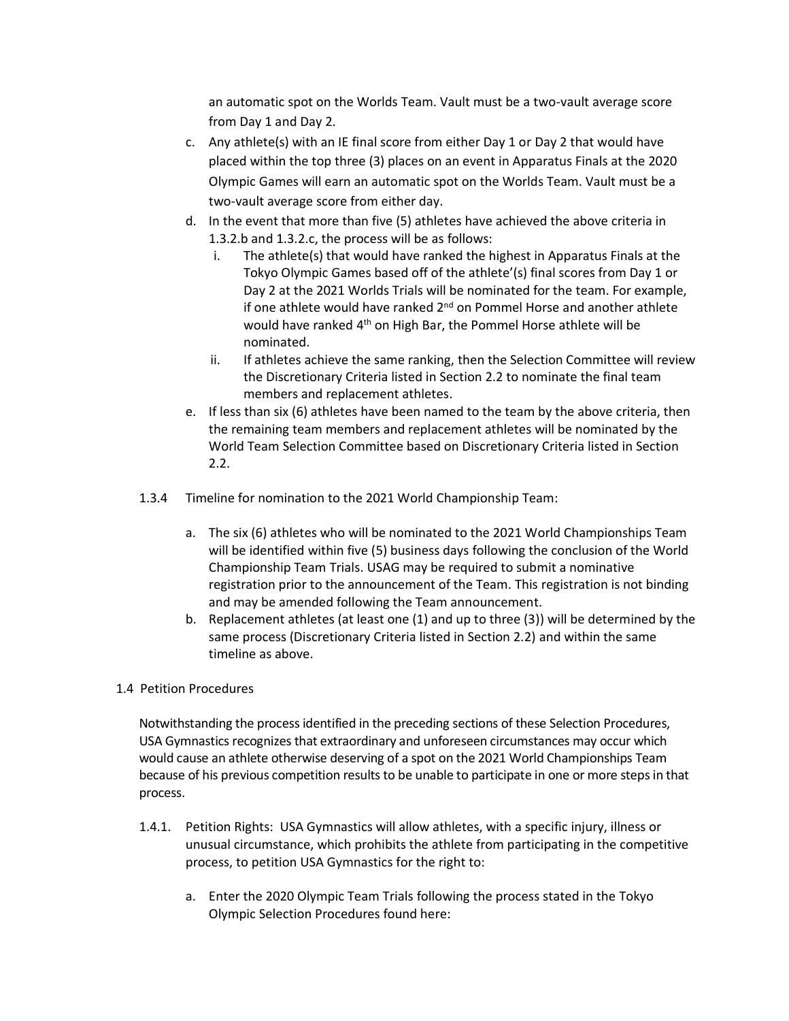an automatic spot on the Worlds Team. Vault must be a two-vault average score from Day 1 and Day 2.

- c. Any athlete(s) with an IE final score from either Day 1 or Day 2 that would have placed within the top three (3) places on an event in Apparatus Finals at the 2020 Olympic Games will earn an automatic spot on the Worlds Team. Vault must be a two-vault average score from either day.
- d. In the event that more than five (5) athletes have achieved the above criteria in 1.3.2.b and 1.3.2.c, the process will be as follows:
	- i. The athlete(s) that would have ranked the highest in Apparatus Finals at the Tokyo Olympic Games based off of the athlete'(s) final scores from Day 1 or Day 2 at the 2021 Worlds Trials will be nominated for the team. For example, if one athlete would have ranked 2<sup>nd</sup> on Pommel Horse and another athlete would have ranked 4<sup>th</sup> on High Bar, the Pommel Horse athlete will be nominated.
	- ii. If athletes achieve the same ranking, then the Selection Committee will review the Discretionary Criteria listed in Section 2.2 to nominate the final team members and replacement athletes.
- e. If less than six (6) athletes have been named to the team by the above criteria, then the remaining team members and replacement athletes will be nominated by the World Team Selection Committee based on Discretionary Criteria listed in Section 2.2.
- 1.3.4 Timeline for nomination to the 2021 World Championship Team:
	- a. The six (6) athletes who will be nominated to the 2021 World Championships Team will be identified within five (5) business days following the conclusion of the World Championship Team Trials. USAG may be required to submit a nominative registration prior to the announcement of the Team. This registration is not binding and may be amended following the Team announcement.
	- b. Replacement athletes (at least one (1) and up to three (3)) will be determined by the same process (Discretionary Criteria listed in Section 2.2) and within the same timeline as above.

## 1.4 Petition Procedures

Notwithstanding the process identified in the preceding sections of these Selection Procedures, USA Gymnastics recognizes that extraordinary and unforeseen circumstances may occur which would cause an athlete otherwise deserving of a spot on the 2021 World Championships Team because of his previous competition results to be unable to participate in one or more steps in that process.

- 1.4.1. Petition Rights: USA Gymnastics will allow athletes, with a specific injury, illness or unusual circumstance, which prohibits the athlete from participating in the competitive process, to petition USA Gymnastics for the right to:
	- a. Enter the 2020 Olympic Team Trials following the process stated in the Tokyo Olympic Selection Procedures found here: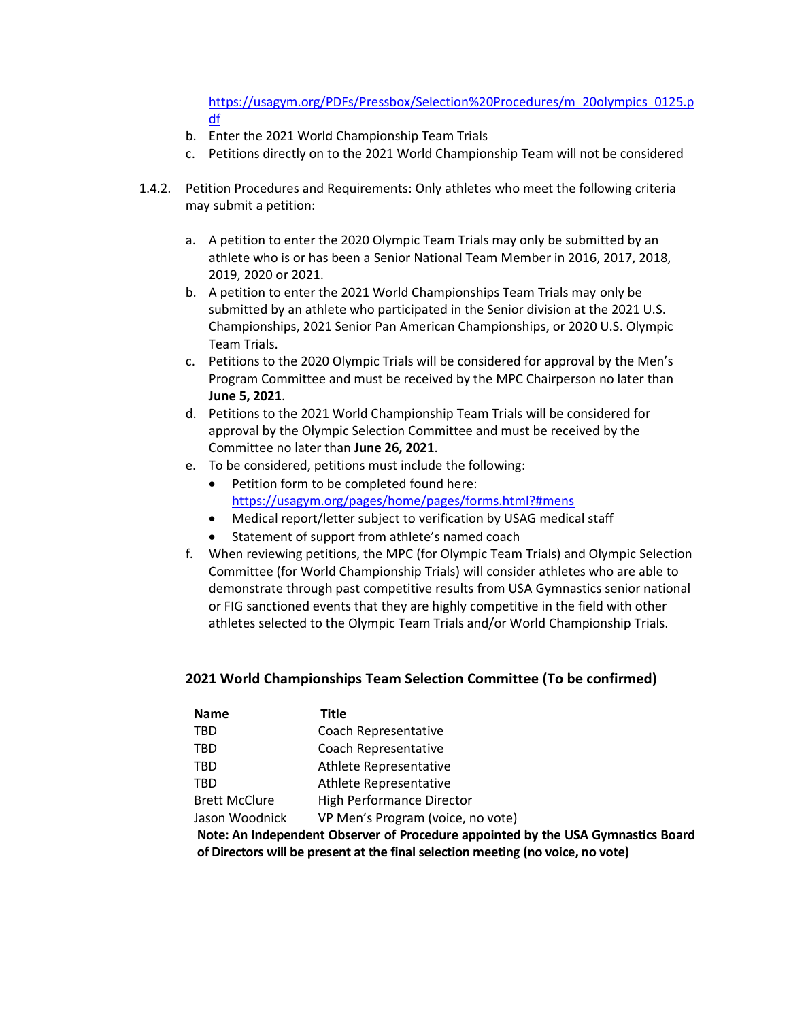[https://usagym.org/PDFs/Pressbox/Selection%20Procedures/m\\_20olympics\\_0125.p](https://usagym.org/PDFs/Pressbox/Selection%20Procedures/m_20olympics_0125.pdf) [df](https://usagym.org/PDFs/Pressbox/Selection%20Procedures/m_20olympics_0125.pdf)

- b. Enter the 2021 World Championship Team Trials
- c. Petitions directly on to the 2021 World Championship Team will not be considered
- 1.4.2. Petition Procedures and Requirements: Only athletes who meet the following criteria may submit a petition:
	- a. A petition to enter the 2020 Olympic Team Trials may only be submitted by an athlete who is or has been a Senior National Team Member in 2016, 2017, 2018, 2019, 2020 or 2021.
	- b. A petition to enter the 2021 World Championships Team Trials may only be submitted by an athlete who participated in the Senior division at the 2021 U.S. Championships, 2021 Senior Pan American Championships, or 2020 U.S. Olympic Team Trials.
	- c. Petitions to the 2020 Olympic Trials will be considered for approval by the Men's Program Committee and must be received by the MPC Chairperson no later than **June 5, 2021**.
	- d. Petitions to the 2021 World Championship Team Trials will be considered for approval by the Olympic Selection Committee and must be received by the Committee no later than **June 26, 2021**.
	- e. To be considered, petitions must include the following:
		- Petition form to be completed found here: <https://usagym.org/pages/home/pages/forms.html?#mens>
		- Medical report/letter subject to verification by USAG medical staff
		- Statement of support from athlete's named coach
	- f. When reviewing petitions, the MPC (for Olympic Team Trials) and Olympic Selection Committee (for World Championship Trials) will consider athletes who are able to demonstrate through past competitive results from USA Gymnastics senior national or FIG sanctioned events that they are highly competitive in the field with other athletes selected to the Olympic Team Trials and/or World Championship Trials.

# **2021 World Championships Team Selection Committee (To be confirmed)**

| <b>Name</b>                                                 | Title                             |  |  |
|-------------------------------------------------------------|-----------------------------------|--|--|
| <b>TBD</b>                                                  | Coach Representative              |  |  |
| <b>TBD</b>                                                  | Coach Representative              |  |  |
| <b>TBD</b>                                                  | Athlete Representative            |  |  |
| TBD                                                         | Athlete Representative            |  |  |
| <b>Brett McClure</b>                                        | <b>High Performance Director</b>  |  |  |
| Jason Woodnick                                              | VP Men's Program (voice, no vote) |  |  |
| Note: An Independent Observer of Procedure appointed by the |                                   |  |  |

**Note: An Independent Observer of Procedure appointed by the USA Gymnastics Board of Directors will be present at the final selection meeting (no voice, no vote)**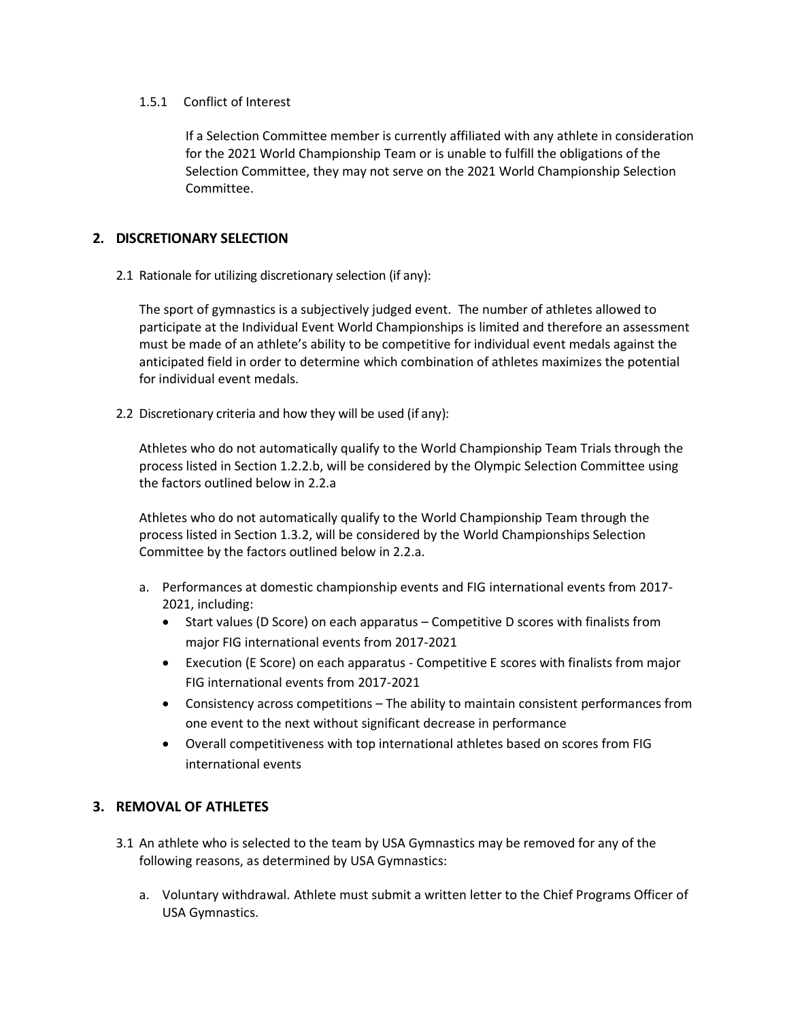#### 1.5.1 Conflict of Interest

If a Selection Committee member is currently affiliated with any athlete in consideration for the 2021 World Championship Team or is unable to fulfill the obligations of the Selection Committee, they may not serve on the 2021 World Championship Selection Committee.

#### **2. DISCRETIONARY SELECTION**

2.1 Rationale for utilizing discretionary selection (if any):

The sport of gymnastics is a subjectively judged event. The number of athletes allowed to participate at the Individual Event World Championships is limited and therefore an assessment must be made of an athlete's ability to be competitive for individual event medals against the anticipated field in order to determine which combination of athletes maximizes the potential for individual event medals.

2.2 Discretionary criteria and how they will be used (if any):

Athletes who do not automatically qualify to the World Championship Team Trials through the process listed in Section 1.2.2.b, will be considered by the Olympic Selection Committee using the factors outlined below in 2.2.a

Athletes who do not automatically qualify to the World Championship Team through the process listed in Section 1.3.2, will be considered by the World Championships Selection Committee by the factors outlined below in 2.2.a.

- a. Performances at domestic championship events and FIG international events from 2017- 2021, including:
	- Start values (D Score) on each apparatus Competitive D scores with finalists from major FIG international events from 2017-2021
	- Execution (E Score) on each apparatus Competitive E scores with finalists from major FIG international events from 2017-2021
	- Consistency across competitions The ability to maintain consistent performances from one event to the next without significant decrease in performance
	- Overall competitiveness with top international athletes based on scores from FIG international events

## **3. REMOVAL OF ATHLETES**

- 3.1 An athlete who is selected to the team by USA Gymnastics may be removed for any of the following reasons, as determined by USA Gymnastics:
	- a. Voluntary withdrawal. Athlete must submit a written letter to the Chief Programs Officer of USA Gymnastics.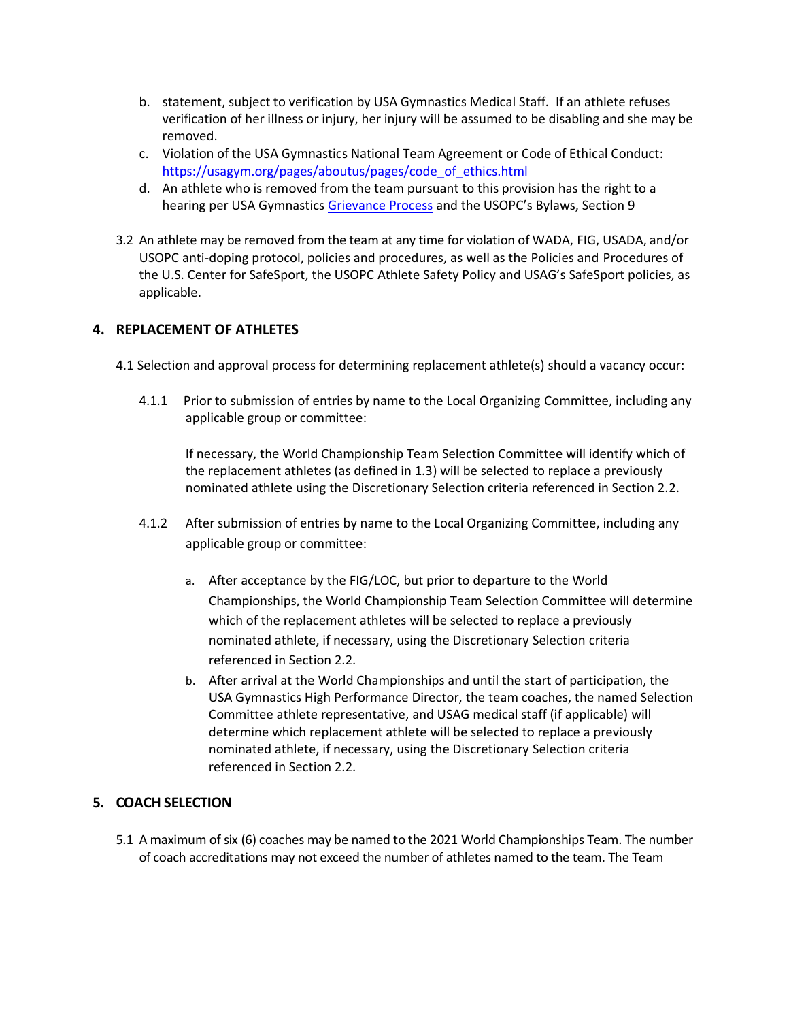- b. statement, subject to verification by USA Gymnastics Medical Staff. If an athlete refuses verification of her illness or injury, her injury will be assumed to be disabling and she may be removed.
- c. Violation of the USA Gymnastics National Team Agreement or Code of Ethical Conduct: [https://usagym.org/pages/aboutus/pages/code\\_of\\_ethics.html](https://usagym.org/pages/aboutus/pages/code_of_ethics.html)
- d. An athlete who is removed from the team pursuant to this provision has the right to a hearing per USA Gymnastic[s Grievance Process](https://usagym.org/pages/aboutus/pages/governance.html) and the USOPC's Bylaws, Section 9
- 3.2 An athlete may be removed from the team at any time for violation of WADA, FIG, USADA, and/or USOPC anti-doping protocol, policies and procedures, as well as the Policies and Procedures of the U.S. Center for SafeSport, the USOPC Athlete Safety Policy and USAG's SafeSport policies, as applicable.

## **4. REPLACEMENT OF ATHLETES**

- 4.1 Selection and approval process for determining replacement athlete(s) should a vacancy occur:
	- 4.1.1 Prior to submission of entries by name to the Local Organizing Committee, including any applicable group or committee:

If necessary, the World Championship Team Selection Committee will identify which of the replacement athletes (as defined in 1.3) will be selected to replace a previously nominated athlete using the Discretionary Selection criteria referenced in Section 2.2.

- 4.1.2 After submission of entries by name to the Local Organizing Committee, including any applicable group or committee:
	- a. After acceptance by the FIG/LOC, but prior to departure to the World Championships, the World Championship Team Selection Committee will determine which of the replacement athletes will be selected to replace a previously nominated athlete, if necessary, using the Discretionary Selection criteria referenced in Section 2.2.
	- b. After arrival at the World Championships and until the start of participation, the USA Gymnastics High Performance Director, the team coaches, the named Selection Committee athlete representative, and USAG medical staff (if applicable) will determine which replacement athlete will be selected to replace a previously nominated athlete, if necessary, using the Discretionary Selection criteria referenced in Section 2.2.

## **5. COACH SELECTION**

5.1 A maximum of six (6) coaches may be named to the 2021 World Championships Team. The number of coach accreditations may not exceed the number of athletes named to the team. The Team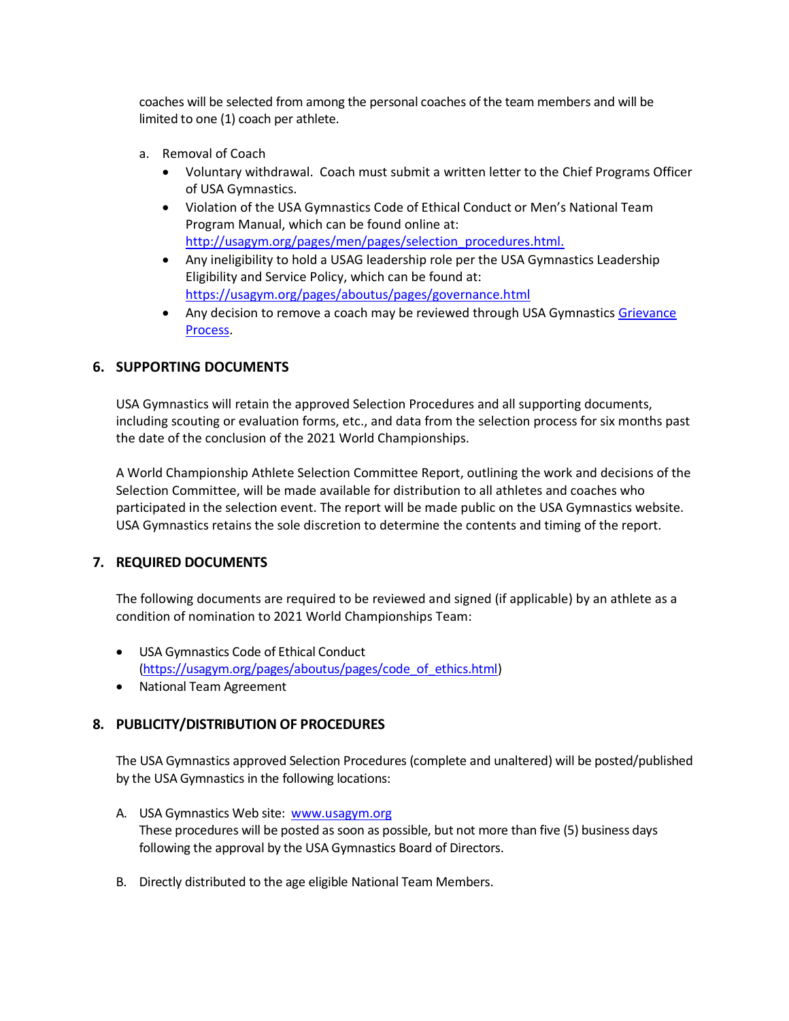coaches will be selected from among the personal coaches of the team members and will be limited to one (1) coach per athlete.

- a. Removal of Coach
	- Voluntary withdrawal. Coach must submit a written letter to the Chief Programs Officer of USA Gymnastics.
	- Violation of the USA Gymnastics Code of Ethical Conduct or Men's National Team Program Manual, which can be found online at: [http://usagym.org/pages/men/pages/selection\\_procedures.html.](http://usagym.org/pages/men/pages/selection_procedures.html)
	- Any ineligibility to hold a USAG leadership role per the USA Gymnastics Leadership Eligibility and Service Policy, which can be found at: <https://usagym.org/pages/aboutus/pages/governance.html>
	- Any decision to remove a coach may be reviewed through USA Gymnastics Grievance [Process.](https://usagym.org/pages/aboutus/pages/governance.html)

## **6. SUPPORTING DOCUMENTS**

USA Gymnastics will retain the approved Selection Procedures and all supporting documents, including scouting or evaluation forms, etc., and data from the selection process for six months past the date of the conclusion of the 2021 World Championships.

A World Championship Athlete Selection Committee Report, outlining the work and decisions of the Selection Committee, will be made available for distribution to all athletes and coaches who participated in the selection event. The report will be made public on the USA Gymnastics website. USA Gymnastics retains the sole discretion to determine the contents and timing of the report.

## **7. REQUIRED DOCUMENTS**

The following documents are required to be reviewed and signed (if applicable) by an athlete as a condition of nomination to 2021 World Championships Team:

- USA Gymnastics Code of Ethical Conduct [\(https://usagym.org/pages/aboutus/pages/code\\_of\\_ethics.html\)](https://usagym.org/pages/aboutus/pages/code_of_ethics.html)
- National Team Agreement

## **8. PUBLICITY/DISTRIBUTION OF PROCEDURES**

The USA Gymnastics approved Selection Procedures (complete and unaltered) will be posted/published by the USA Gymnastics in the following locations:

- A. USA Gymnastics Web site: www.usagym.org These procedures will be posted as soon as possible, but not more than five (5) business days following the approval by the USA Gymnastics Board of Directors.
- B. Directly distributed to the age eligible National Team Members.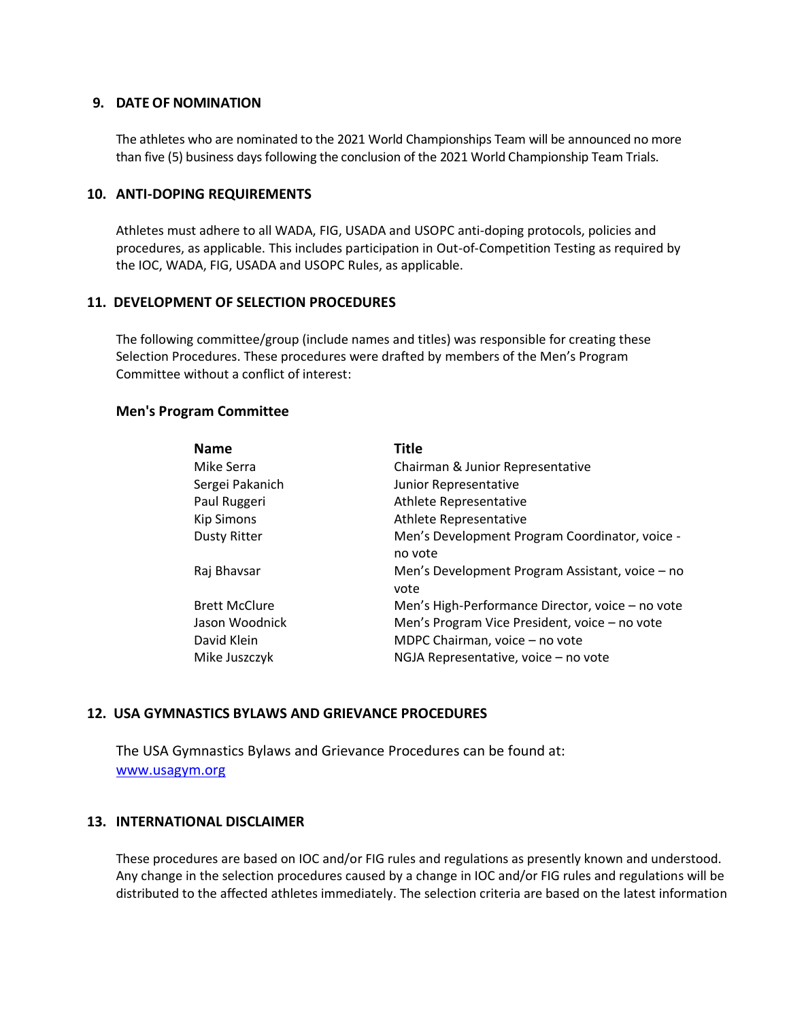#### **9. DATE OF NOMINATION**

The athletes who are nominated to the 2021 World Championships Team will be announced no more than five (5) business days following the conclusion of the 2021 World Championship Team Trials.

#### **10. ANTI-DOPING REQUIREMENTS**

Athletes must adhere to all WADA, FIG, USADA and USOPC anti-doping protocols, policies and procedures, as applicable. This includes participation in Out-of-Competition Testing as required by the IOC, WADA, FIG, USADA and USOPC Rules, as applicable.

#### **11. DEVELOPMENT OF SELECTION PROCEDURES**

The following committee/group (include names and titles) was responsible for creating these Selection Procedures. These procedures were drafted by members of the Men's Program Committee without a conflict of interest:

#### **Men's Program Committee**

| <b>Name</b>          | Title                                                   |
|----------------------|---------------------------------------------------------|
| Mike Serra           | Chairman & Junior Representative                        |
| Sergei Pakanich      | Junior Representative                                   |
| Paul Ruggeri         | Athlete Representative                                  |
| <b>Kip Simons</b>    | Athlete Representative                                  |
| <b>Dusty Ritter</b>  | Men's Development Program Coordinator, voice -          |
|                      | no vote                                                 |
| Raj Bhavsar          | Men's Development Program Assistant, voice – no<br>vote |
| <b>Brett McClure</b> | Men's High-Performance Director, voice – no vote        |
| Jason Woodnick       | Men's Program Vice President, voice - no vote           |
| David Klein          | MDPC Chairman, voice - no vote                          |
| Mike Juszczyk        | NGJA Representative, voice - no vote                    |

# **12. USA GYMNASTICS BYLAWS AND GRIEVANCE PROCEDURES**

The USA Gymnastics Bylaws and Grievance Procedures can be found at: [www.usagym.org](http://www.usagym.org/)

## **13. INTERNATIONAL DISCLAIMER**

These procedures are based on IOC and/or FIG rules and regulations as presently known and understood. Any change in the selection procedures caused by a change in IOC and/or FIG rules and regulations will be distributed to the affected athletes immediately. The selection criteria are based on the latest information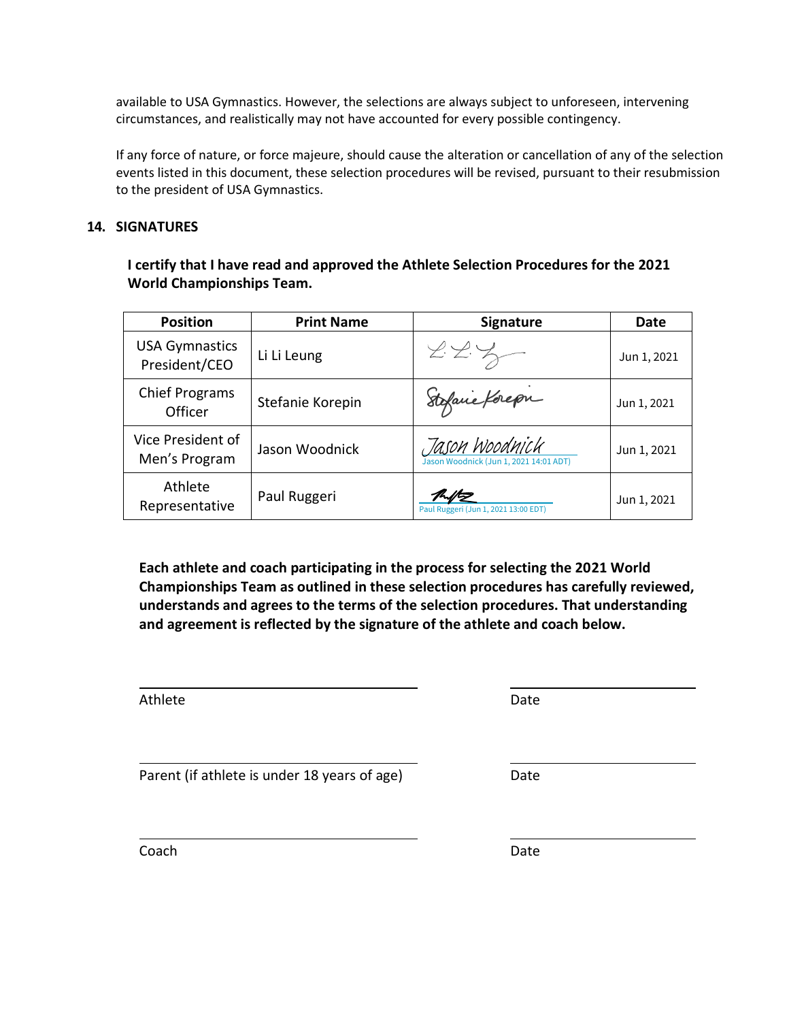available to USA Gymnastics. However, the selections are always subject to unforeseen, intervening circumstances, and realistically may not have accounted for every possible contingency.

If any force of nature, or force majeure, should cause the alteration or cancellation of any of the selection events listed in this document, these selection procedures will be revised, pursuant to their resubmission to the president of USA Gymnastics.

# **14. SIGNATURES**

**I certify that I have read and approved the Athlete Selection Procedures for the 2021 World Championships Team.**

| <b>Position</b>                        | <b>Print Name</b> | <b>Signature</b>                                         | Date        |
|----------------------------------------|-------------------|----------------------------------------------------------|-------------|
| <b>USA Gymnastics</b><br>President/CEO | Li Li Leung       | 225                                                      | Jun 1, 2021 |
| <b>Chief Programs</b><br>Officer       | Stefanie Korepin  | Stefanie Korepn                                          | Jun 1, 2021 |
| Vice President of<br>Men's Program     | Jason Woodnick    | Jason Woodnick<br>Jason Woodnick (Jun 1, 2021 14:01 ADT) | Jun 1, 2021 |
| Athlete<br>Representative              | Paul Ruggeri      | Paul Ruggeri (Jun 1, 2021 13:00 EDT)                     | Jun 1, 2021 |

**Each athlete and coach participating in the process for selecting the 2021 World Championships Team as outlined in these selection procedures has carefully reviewed, understands and agrees to the terms of the selection procedures. That understanding and agreement is reflected by the signature of the athlete and coach below.** 

Athlete Date Date Date Date

Parent (if athlete is under 18 years of age) Date

Coach and the contract of the contract of the contract of the contract of the contract of the Date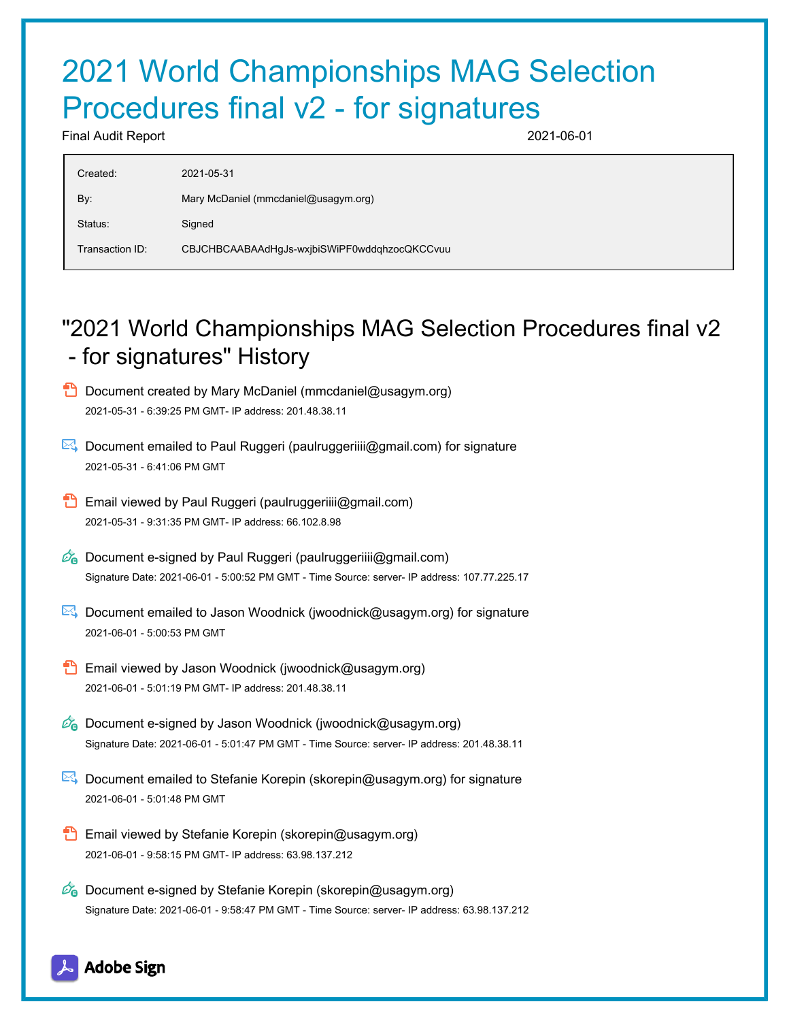# 2021 World Championships MAG Selection Procedures final v2 - for signatures

Final Audit Report 2021-06-01

| Created:        | 2021-05-31                                   |
|-----------------|----------------------------------------------|
| By:             | Mary McDaniel (mmcdaniel@usagym.org)         |
| Status:         | Signed                                       |
| Transaction ID: | CBJCHBCAABAAdHgJs-wxjbiSWiPF0wddqhzocQKCCvuu |
|                 |                                              |

# "2021 World Championships MAG Selection Procedures final v2 - for signatures" History

- **D** Document created by Mary McDaniel (mmcdaniel@usagym.org) 2021-05-31 - 6:39:25 PM GMT- IP address: 201.48.38.11
- Document emailed to Paul Ruggeri (paulruggeriiii@gmail.com) for signature 2021-05-31 - 6:41:06 PM GMT
- **Email viewed by Paul Ruggeri (paulruggeriiii@gmail.com)** 2021-05-31 - 9:31:35 PM GMT- IP address: 66.102.8.98
- $\mathscr{D}_{\mathbf{G}}$  Document e-signed by Paul Ruggeri (paulruggeriiii@gmail.com) Signature Date: 2021-06-01 - 5:00:52 PM GMT - Time Source: server- IP address: 107.77.225.17
- $\mathbb{E}$  Document emailed to Jason Woodnick (jwoodnick@usagym.org) for signature 2021-06-01 - 5:00:53 PM GMT
- **Email viewed by Jason Woodnick (jwoodnick@usagym.org)** 2021-06-01 - 5:01:19 PM GMT- IP address: 201.48.38.11
- $\mathscr{D}_{\mathbf{G}}$  Document e-signed by Jason Woodnick (jwoodnick@usagym.org) Signature Date: 2021-06-01 - 5:01:47 PM GMT - Time Source: server- IP address: 201.48.38.11
- **E** Document emailed to Stefanie Korepin (skorepin@usagym.org) for signature 2021-06-01 - 5:01:48 PM GMT
- Email viewed by Stefanie Korepin (skorepin@usagym.org) 2021-06-01 - 9:58:15 PM GMT- IP address: 63.98.137.212
- $\mathscr{O}_\bullet$  Document e-signed by Stefanie Korepin (skorepin@usagym.org) Signature Date: 2021-06-01 - 9:58:47 PM GMT - Time Source: server- IP address: 63.98.137.212